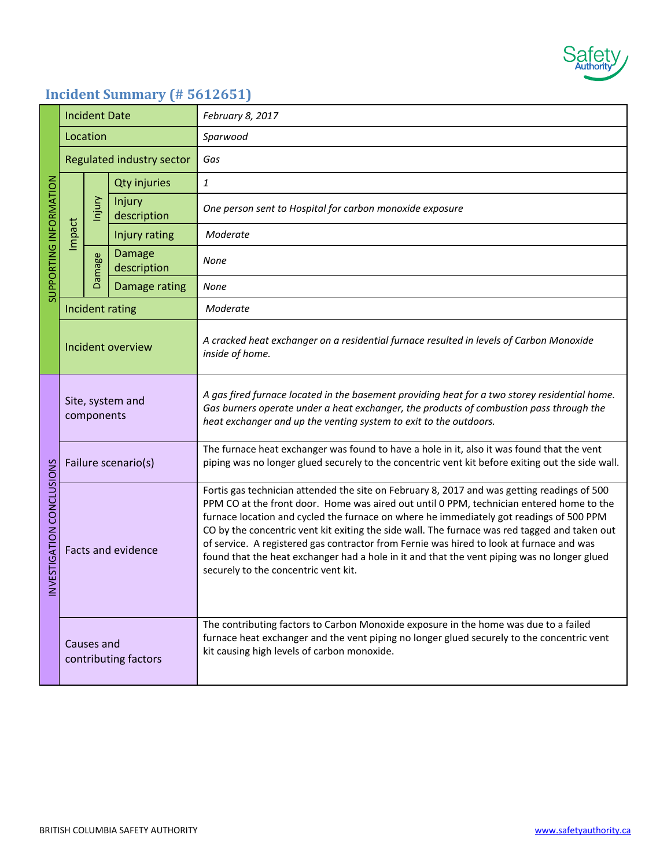

## **Incident Summary (# 5612651)**

| SUPPORTING INFORMATION   | <b>Incident Date</b>               |                         |                              | February 8, 2017                                                                                                                                                                                                                                                                                                                                                                                                                                                                                                                                                                                                       |
|--------------------------|------------------------------------|-------------------------|------------------------------|------------------------------------------------------------------------------------------------------------------------------------------------------------------------------------------------------------------------------------------------------------------------------------------------------------------------------------------------------------------------------------------------------------------------------------------------------------------------------------------------------------------------------------------------------------------------------------------------------------------------|
|                          | Location                           |                         |                              | Sparwood                                                                                                                                                                                                                                                                                                                                                                                                                                                                                                                                                                                                               |
|                          | Regulated industry sector          |                         |                              | Gas                                                                                                                                                                                                                                                                                                                                                                                                                                                                                                                                                                                                                    |
|                          | Impact                             | Injury<br><b>Damage</b> | <b>Qty injuries</b>          | $\it 1$                                                                                                                                                                                                                                                                                                                                                                                                                                                                                                                                                                                                                |
|                          |                                    |                         | Injury<br>description        | One person sent to Hospital for carbon monoxide exposure                                                                                                                                                                                                                                                                                                                                                                                                                                                                                                                                                               |
|                          |                                    |                         | Injury rating                | Moderate                                                                                                                                                                                                                                                                                                                                                                                                                                                                                                                                                                                                               |
|                          |                                    |                         | <b>Damage</b><br>description | None                                                                                                                                                                                                                                                                                                                                                                                                                                                                                                                                                                                                                   |
|                          |                                    |                         | Damage rating                | None                                                                                                                                                                                                                                                                                                                                                                                                                                                                                                                                                                                                                   |
|                          | Incident rating                    |                         |                              | Moderate                                                                                                                                                                                                                                                                                                                                                                                                                                                                                                                                                                                                               |
|                          | Incident overview                  |                         |                              | A cracked heat exchanger on a residential furnace resulted in levels of Carbon Monoxide<br>inside of home.                                                                                                                                                                                                                                                                                                                                                                                                                                                                                                             |
| NVESTIGATION CONCLUSIONS | Site, system and<br>components     |                         |                              | A gas fired furnace located in the basement providing heat for a two storey residential home.<br>Gas burners operate under a heat exchanger, the products of combustion pass through the<br>heat exchanger and up the venting system to exit to the outdoors.                                                                                                                                                                                                                                                                                                                                                          |
|                          | Failure scenario(s)                |                         |                              | The furnace heat exchanger was found to have a hole in it, also it was found that the vent<br>piping was no longer glued securely to the concentric vent kit before exiting out the side wall.                                                                                                                                                                                                                                                                                                                                                                                                                         |
|                          | <b>Facts and evidence</b>          |                         |                              | Fortis gas technician attended the site on February 8, 2017 and was getting readings of 500<br>PPM CO at the front door. Home was aired out until 0 PPM, technician entered home to the<br>furnace location and cycled the furnace on where he immediately got readings of 500 PPM<br>CO by the concentric vent kit exiting the side wall. The furnace was red tagged and taken out<br>of service. A registered gas contractor from Fernie was hired to look at furnace and was<br>found that the heat exchanger had a hole in it and that the vent piping was no longer glued<br>securely to the concentric vent kit. |
|                          | Causes and<br>contributing factors |                         |                              | The contributing factors to Carbon Monoxide exposure in the home was due to a failed<br>furnace heat exchanger and the vent piping no longer glued securely to the concentric vent<br>kit causing high levels of carbon monoxide.                                                                                                                                                                                                                                                                                                                                                                                      |